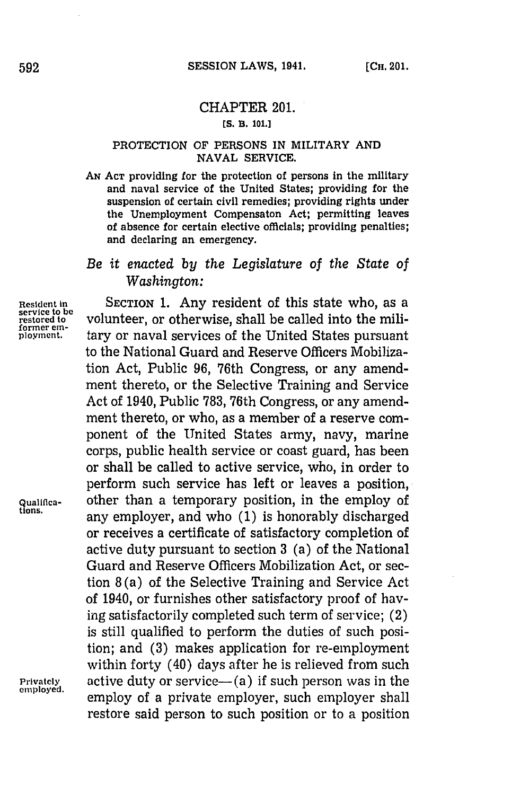# CHAPTER 201.

## **[S. B. 101.]**

#### PROTECTION OF **PERSONS IN** MILITARY **AND NAVAL** SERVICE.

AN Act providing for the protection of persons in the military and naval service of the United States; providing for the suspension of certain civil remedies; providing rights under the Unemployment Compensaton Act; permitting leaves of absence for certain elective officials; providing penalties; and declaring an emergency.

## *Be it enacted by the Legislature of the State of Washington:*

**Resident in** SECTION **1.** Any resident of this state who, as a **service to be former em-**

volunteer, or otherwise, shall be called into the military or naval services of the United States pursuant to the National Guard and Reserve Officers Mobilization Act, Public **96,** 76th Congress, or any amendment thereto, or the Selective Training and Service Act of 1940, Public **783,** 76th Congress, or any amendment thereto, or who, as a member of a reserve component of the United States army, navy, marine corps, public health service or coast guard, has been or shall be called to active service, who, in order to perform such service has left or leaves a position, **Qualitica-** other than a temporary position, in the employ of any employer, and who (1) is honorably discharged or receives a certificate of satisfactory completion of active duty pursuant to section **3** (a) of the National Guard and Reserve Officers Mobilization Act, or section **8** (a) of the Selective Training and Service Act of 1940, or furnishes other satisfactory proof of haying satisfactorily completed such term of service; (2) is still qualified to perform the duties of such position; and **(3)** makes application for re-employment within forty (40) days after he is relieved from such **Privately** active duty or service—(a) if such person was in the employed. employ of a private employer, such employer shall restore said person to such position or to a position

592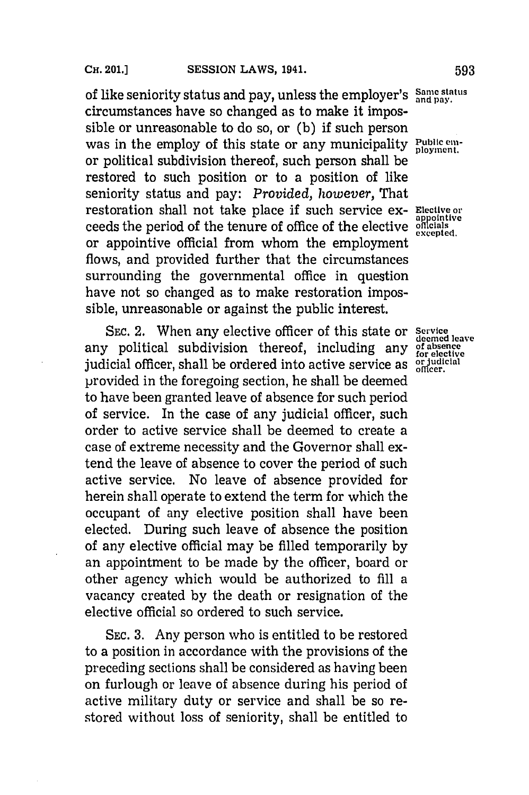of like seniority status and pay, unless the employer's Same status circumstances have so changed as to make it impossible or unreasonable to do so, or **(b)** if such person was in the employ of this state or any municipality **Public em**or political subdivision thereof, such person shall be restored to such position or to a position of like seniority status and pay: *Provided, however,* That restoration shall not take place if such service ex- **Elective or** ceeds the period of the tenure of office of the elective officials or appointive official from whom the employment flows, and provided further that the circumstances surrounding the governmental office in question have not so changed as to make restoration impossible, unreasonable or against the public interest.

SEC. 2. When any elective officer of this state or **Service** *deemed leave* any political subdivision thereof, including any **of absence for elective** judicial officer, shall be ordered into active service as or pudicial officer. provided in the foregoing section, he shall be deemed to have been granted leave of absence for such period of service. In the case of any judicial officer, such order to active service shall be deemed to create a case of extreme necessity and the Governor shall extend the leave of absence to cover the period of such active service. No leave of absence provided for herein shall operate to extend the term for which the occupant of any elective position shall have been elected. During such leave of absence the position of any elective official may be filled temporarily **by** an appointment to be made **by** the officer, board or other agency which would be authorized to **fill** a vacancy created **by** the death or resignation of the elective official so ordered to such service.

**SEC. 3.** Any person who is entitled to be restored to a position in accordance with the provisions of the preceding sections shall be considered as having been on furlough or leave of absence during his period of active military duty or service and shall be so restored without loss of seniority, shall be entitled to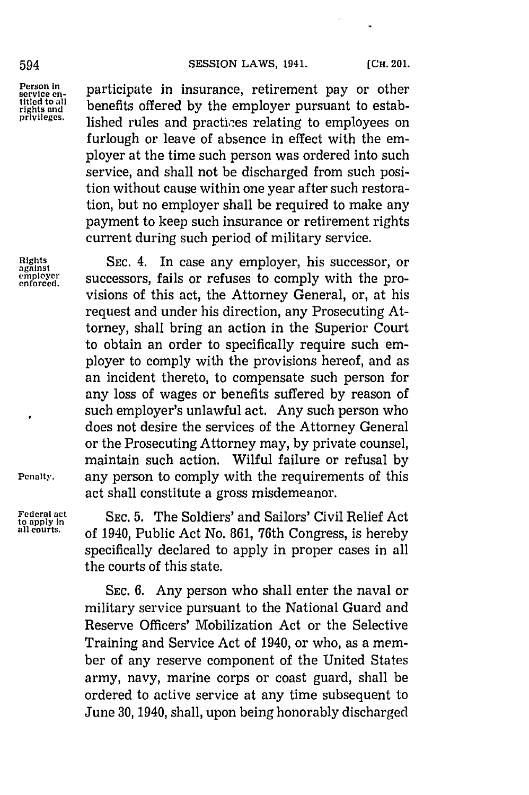### 594 **SESSION LAWS, 1941.** [CH. 201.

Person in participate in insurance, retirement pay or other<br>service en-<br>iiied to all phanefits of small by the employer numeric to eateb **rights and** benefits offered **by** the employer pursuant to estab**privileges.** lished rules and practioes relating to employees on furlough or leave of absence in effect with the employer at the time such person was ordered into such service, and shall not be discharged from such position without cause within one year after such restoration, but no employer shall be required to make any payment to keep such insurance or retirement rights current during such period of military service.

**Rights SEC.** 4. In case any employer, his successor, or **against empieyer** successors, fails or refuses to comply with the provisions of this act, the Attorney General, or, at his request and under his direction, any Prosecuting Attorney, shall bring an action in the Superior Court to obtain an order to specifically require such employer to comply with the provisions hereof, and as an incident thereto, to compensate such person for any loss of wages or benefits suffered **by** reason of such employer's unlawful act. Any such person who does not desire the services of the Attorney General or the Prosecuting Attorney may, **by** private counsel, maintain such action. Wilful failure or refusal **by Penalty.** any person to comply with the requirements of this act shall constitute a gross misdemeanor.

**Federal act**<br>to apply in Sec. 5. The Soldiers' and Sailors' Civil Relief Act<br>all courts. ef 1940 Bublie Act No. 961, 76th Congress is boneby. **all courts,** of 1940, Public Act No. **861,** 76th Congress, is hereby specifically declared to apply in proper cases in all the courts of this state.

> **SEC. 6.** Any person who shall enter the naval or military service pursuant to the National Guard and Reserve Officers' Mobilization Act or the Selective Training and Service Act of 1940, or who, as a member of any reserve component of the United States army, navy, marine corps or coast guard, shall be ordered to active service at any time subsequent to June **30,** 1940, shall, upon being honorably discharged